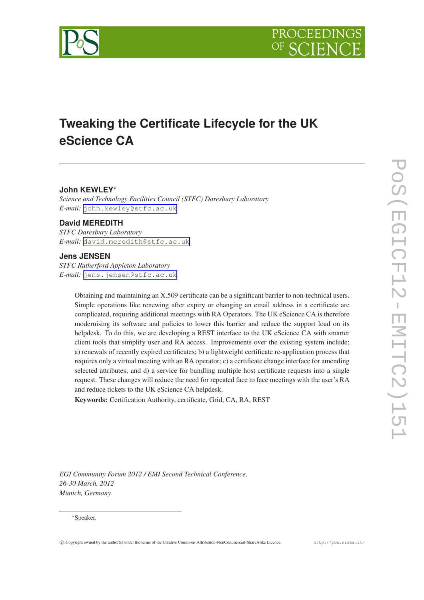



# **Tweaking the Certificate Lifecycle for the UK eScience CA**

## **John KEWLEY**<sup>∗</sup>

*Science and Technology Facilities Council (STFC) Daresbury Laboratory E-mail:* [john.kewley@stfc.ac.uk](mailto:john.kewley@stfc.ac.uk)

## **David MEREDITH**

*STFC Daresbury Laboratory E-mail:* [david.meredith@stfc.ac.uk](mailto:david.meredith@stfc.ac.uk)

#### **Jens JENSEN**

*STFC Rutherford Appleton Laboratory E-mail:* [jens.jensen@stfc.ac.uk](mailto:jens.jensen@stfc.ac.uk)

> Obtaining and maintaining an X.509 certificate can be a significant barrier to non-technical users. Simple operations like renewing after expiry or changing an email address in a certificate are complicated, requiring additional meetings with RA Operators. The UK eScience CA is therefore modernising its software and policies to lower this barrier and reduce the support load on its helpdesk. To do this, we are developing a REST interface to the UK eScience CA with smarter client tools that simplify user and RA access. Improvements over the existing system include; a) renewals of recently expired certificates; b) a lightweight certificate re-application process that requires only a virtual meeting with an RA operator; c) a certificate change interface for amending selected attributes; and d) a service for bundling multiple host certificate requests into a single request. These changes will reduce the need for repeated face to face meetings with the user's RA and reduce tickets to the UK eScience CA helpdesk.

Keywords: Certification Authority, certificate, Grid, CA, RA, REST

*EGI Community Forum 2012 / EMI Second Technical Conference, 26-30 March, 2012 Munich, Germany*

#### <sup>∗</sup>Speaker.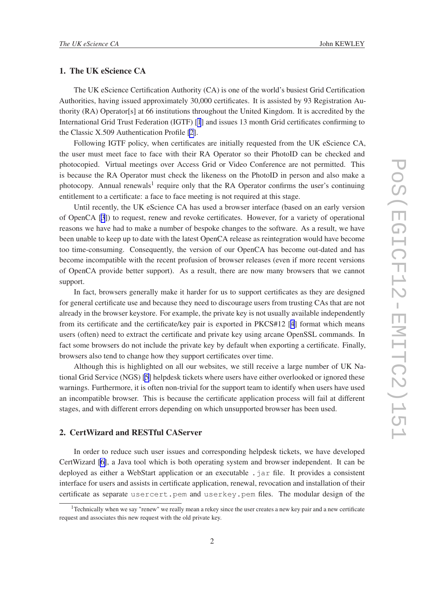## 1. The UK eScience CA

The UK eScience Certification Authority (CA) is one of the world's busiest Grid Certification Authorities, having issued approximately 30,000 certificates. It is assisted by 93 Registration Authority (RA) Operator[s] at 66 institutions throughout the United Kingdom. It is accredited by the International Grid Trust Federation (IGTF) [\[1](#page-8-0)] and issues 13 month Grid certificates confirming to the Classic X.509 Authentication Profile [\[2\]](#page-8-0).

Following IGTF policy, when certificates are initially requested from the UK eScience CA, the user must meet face to face with their RA Operator so their PhotoID can be checked and photocopied. Virtual meetings over Access Grid or Video Conference are not permitted. This is because the RA Operator must check the likeness on the PhotoID in person and also make a photocopy. Annual renewals<sup>1</sup> require only that the RA Operator confirms the user's continuing entitlement to a certificate: a face to face meeting is not required at this stage.

Until recently, the UK eScience CA has used a browser interface (based on an early version of OpenCA [\[3](#page-8-0)]) to request, renew and revoke certificates. However, for a variety of operational reasons we have had to make a number of bespoke changes to the software. As a result, we have been unable to keep up to date with the latest OpenCA release as reintegration would have become too time-consuming. Consequently, the version of our OpenCA has become out-dated and has become incompatible with the recent profusion of browser releases (even if more recent versions of OpenCA provide better support). As a result, there are now many browsers that we cannot support.

In fact, browsers generally make it harder for us to support certificates as they are designed for general certificate use and because they need to discourage users from trusting CAs that are not already in the browser keystore. For example, the private key is not usually available independently from its certificate and the certificate/key pair is exported in PKCS#12 [[4](#page-8-0)] format which means users (often) need to extract the certificate and private key using arcane OpenSSL commands. In fact some browsers do not include the private key by default when exporting a certificate. Finally, browsers also tend to change how they support certificates over time.

Although this is highlighted on all our websites, we still receive a large number of UK National Grid Service (NGS) [\[5\]](#page-8-0) helpdesk tickets where users have either overlooked or ignored these warnings. Furthermore, it is often non-trivial for the support team to identify when users have used an incompatible browser. This is because the certificate application process will fail at different stages, and with different errors depending on which unsupported browser has been used.

## 2. CertWizard and RESTful CAServer

In order to reduce such user issues and corresponding helpdesk tickets, we have developed CertWizard [\[6\]](#page-8-0), a Java tool which is both operating system and browser independent. It can be deployed as either a WebStart application or an executable . jar file. It provides a consistent interface for users and assists in certificate application, renewal, revocation and installation of their certificate as separate usercert.pem and userkey.pem files. The modular design of the

<sup>&</sup>lt;sup>1</sup>Technically when we say "renew" we really mean a rekey since the user creates a new key pair and a new certificate request and associates this new request with the old private key.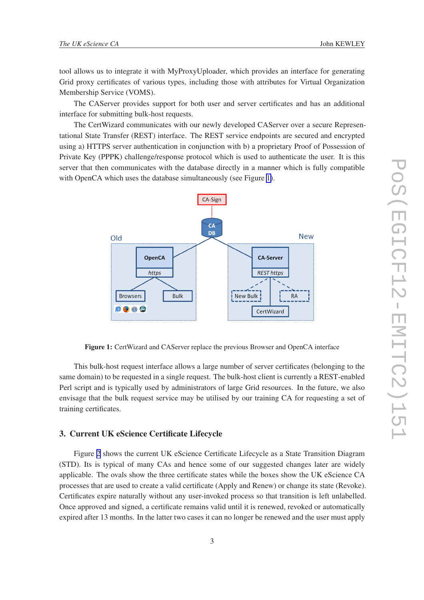<span id="page-2-0"></span>tool allows us to integrate it with MyProxyUploader, which provides an interface for generating Grid proxy certificates of various types, including those with attributes for Virtual Organization Membership Service (VOMS).

The CAServer provides support for both user and server certificates and has an additional interface for submitting bulk-host requests.

The CertWizard communicates with our newly developed CAServer over a secure Representational State Transfer (REST) interface. The REST service endpoints are secured and encrypted using a) HTTPS server authentication in conjunction with b) a proprietary Proof of Possession of Private Key (PPPK) challenge/response protocol which is used to authenticate the user. It is this server that then communicates with the database directly in a manner which is fully compatible with OpenCA which uses the database simultaneously (see Figure 1).



Figure 1: CertWizard and CAServer replace the previous Browser and OpenCA interface

This bulk-host request interface allows a large number of server certificates (belonging to the same domain) to be requested in a single request. The bulk-host client is currently a REST-enabled Perl script and is typically used by administrators of large Grid resources. In the future, we also envisage that the bulk request service may be utilised by our training CA for requesting a set of training certificates.

## 3. Current UK eScience Certificate Lifecycle

Figure [2](#page-3-0) shows the current UK eScience Certificate Lifecycle as a State Transition Diagram (STD). Its is typical of many CAs and hence some of our suggested changes later are widely applicable. The ovals show the three certificate states while the boxes show the UK eScience CA processes that are used to create a valid certificate (Apply and Renew) or change its state (Revoke). Certificates expire naturally without any user-invoked process so that transition is left unlabelled. Once approved and signed, a certificate remains valid until it is renewed, revoked or automatically expired after 13 months. In the latter two cases it can no longer be renewed and the user must apply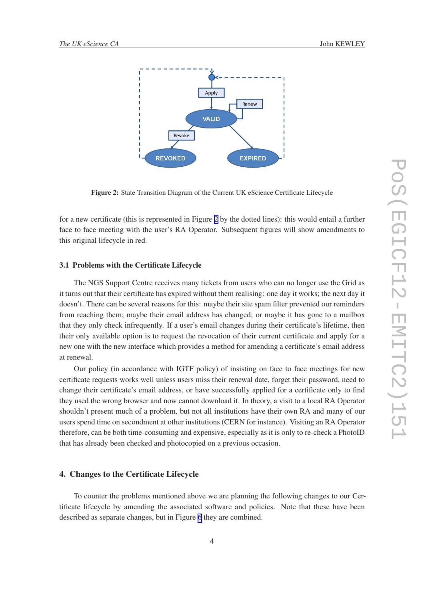<span id="page-3-0"></span>

Figure 2: State Transition Diagram of the Current UK eScience Certificate Lifecycle

for a new certificate (this is represented in Figure 2 by the dotted lines): this would entail a further face to face meeting with the user's RA Operator. Subsequent figures will show amendments to this original lifecycle in red.

#### 3.1 Problems with the Certificate Lifecycle

The NGS Support Centre receives many tickets from users who can no longer use the Grid as it turns out that their certificate has expired without them realising: one day it works; the next day it doesn't. There can be several reasons for this: maybe their site spam filter prevented our reminders from reaching them; maybe their email address has changed; or maybe it has gone to a mailbox that they only check infrequently. If a user's email changes during their certificate's lifetime, then their only available option is to request the revocation of their current certificate and apply for a new one with the new interface which provides a method for amending a certificate's email address at renewal.

Our policy (in accordance with IGTF policy) of insisting on face to face meetings for new certificate requests works well unless users miss their renewal date, forget their password, need to change their certificate's email address, or have successfully applied for a certificate only to find they used the wrong browser and now cannot download it. In theory, a visit to a local RA Operator shouldn't present much of a problem, but not all institutions have their own RA and many of our users spend time on secondment at other institutions (CERN for instance). Visiting an RA Operator therefore, can be both time-consuming and expensive, especially as it is only to re-check a PhotoID that has already been checked and photocopied on a previous occasion.

## 4. Changes to the Certificate Lifecycle

To counter the problems mentioned above we are planning the following changes to our Certificate lifecycle by amending the associated software and policies. Note that these have been described as separate changes, but in Figure [6](#page-6-0) they are combined.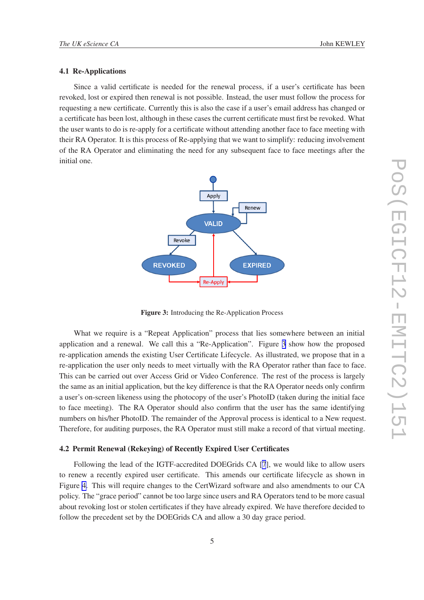#### 4.1 Re-Applications

Since a valid certificate is needed for the renewal process, if a user's certificate has been revoked, lost or expired then renewal is not possible. Instead, the user must follow the process for requesting a new certificate. Currently this is also the case if a user's email address has changed or a certificate has been lost, although in these cases the current certificate must first be revoked. What the user wants to do is re-apply for a certificate without attending another face to face meeting with their RA Operator. It is this process of Re-applying that we want to simplify: reducing involvement of the RA Operator and eliminating the need for any subsequent face to face meetings after the initial one.



Figure 3: Introducing the Re-Application Process

What we require is a "Repeat Application" process that lies somewhere between an initial application and a renewal. We call this a "Re-Application". Figure 3 show how the proposed re-application amends the existing User Certificate Lifecycle. As illustrated, we propose that in a re-application the user only needs to meet virtually with the RA Operator rather than face to face. This can be carried out over Access Grid or Video Conference. The rest of the process is largely the same as an initial application, but the key difference is that the RA Operator needs only confirm a user's on-screen likeness using the photocopy of the user's PhotoID (taken during the initial face to face meeting). The RA Operator should also confirm that the user has the same identifying numbers on his/her PhotoID. The remainder of the Approval process is identical to a New request. Therefore, for auditing purposes, the RA Operator must still make a record of that virtual meeting.

#### 4.2 Permit Renewal (Rekeying) of Recently Expired User Certificates

Following the lead of the IGTF-accredited DOEGrids CA [\[7](#page-8-0)], we would like to allow users to renew a recently expired user certificate. This amends our certificate lifecycle as shown in Figure [4.](#page-5-0) This will require changes to the CertWizard software and also amendments to our CA policy. The "grace period" cannot be too large since users and RA Operators tend to be more casual about revoking lost or stolen certificates if they have already expired. We have therefore decided to follow the precedent set by the DOEGrids CA and allow a 30 day grace period.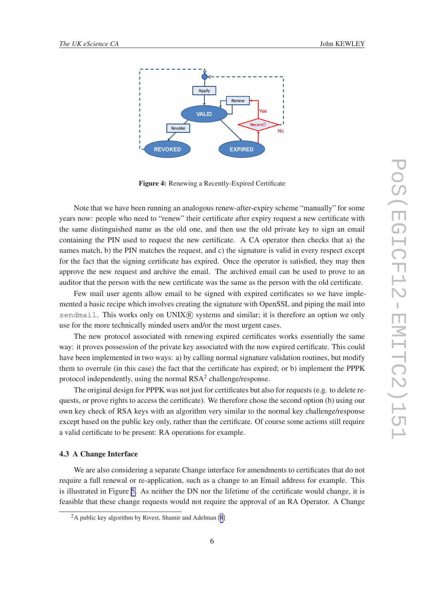<span id="page-5-0"></span>

Figure 4: Renewing a Recently-Expired Certificate

Note that we have been running an analogous renew-after-expiry scheme "manually" for some years now: people who need to "renew" their certificate after expiry request a new certificate with the same distinguished name as the old one, and then use the old private key to sign an email containing the PIN used to request the new certificate. A CA operator then checks that a) the names match, b) the PIN matches the request, and c) the signature is valid in every respect except for the fact that the signing certificate has expired. Once the operator is satisfied, they may then approve the new request and archive the email. The archived email can be used to prove to an auditor that the person with the new certificate was the same as the person with the old certificate.

Few mail user agents allow email to be signed with expired certificates so we have implemented a basic recipe which involves creating the signature with OpenSSL and piping the mail into sendmail. This works only on  $UNIX(R)$  systems and similar; it is therefore an option we only use for the more technically minded users and/or the most urgent cases.

The new protocol associated with renewing expired certificates works essentially the same way: it proves possession of the private key associated with the now expired certificate. This could have been implemented in two ways: a) by calling normal signature validation routines, but modify them to overrule (in this case) the fact that the certificate has expired; or b) implement the PPPK protocol independently, using the normal  $RSA^2$  challenge/response.

The original design for PPPK was not just for certificates but also for requests (e.g. to delete requests, or prove rights to access the certificate). We therefore chose the second option (b) using our own key check of RSA keys with an algorithm very similar to the normal key challenge/response except based on the public key only, rather than the certificate. Of course some actions still require a valid certificate to be present: RA operations for example.

#### 4.3 A Change Interface

We are also considering a separate Change interface for amendments to certificates that do not require a full renewal or re-application, such as a change to an Email address for example. This is illustrated in Figure [5.](#page-6-0) As neither the DN nor the lifetime of the certificate would change, it is feasible that these change requests would not require the approval of an RA Operator. A Change

<sup>&</sup>lt;sup>2</sup>A public key algorithm by Rivest, Shamir and Adelman [[8](#page-8-0)]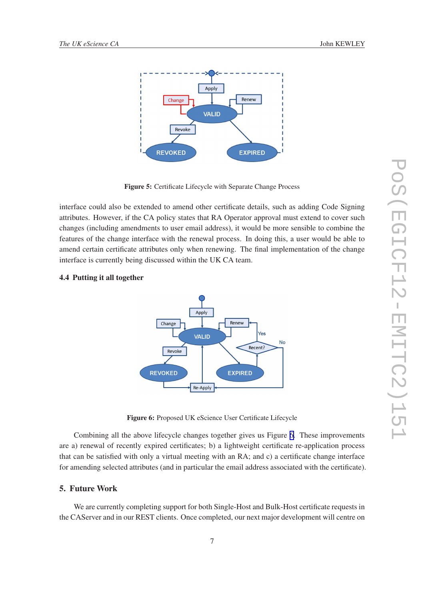

<span id="page-6-0"></span>

Figure 5: Certificate Lifecycle with Separate Change Process

interface could also be extended to amend other certificate details, such as adding Code Signing attributes. However, if the CA policy states that RA Operator approval must extend to cover such changes (including amendments to user email address), it would be more sensible to combine the features of the change interface with the renewal process. In doing this, a user would be able to amend certain certificate attributes only when renewing. The final implementation of the change interface is currently being discussed within the UK CA team.

## Apply Renew Change Yes **VALID No** Recent? Revoke **REVOKED EXPIRED** Re-Apply

#### 4.4 Putting it all together

Figure 6: Proposed UK eScience User Certificate Lifecycle

Combining all the above lifecycle changes together gives us Figure 6. These improvements are a) renewal of recently expired certificates; b) a lightweight certificate re-application process that can be satisfied with only a virtual meeting with an RA; and c) a certificate change interface for amending selected attributes (and in particular the email address associated with the certificate).

## 5. Future Work

We are currently completing support for both Single-Host and Bulk-Host certificate requests in the CAServer and in our REST clients. Once completed, our next major development will centre on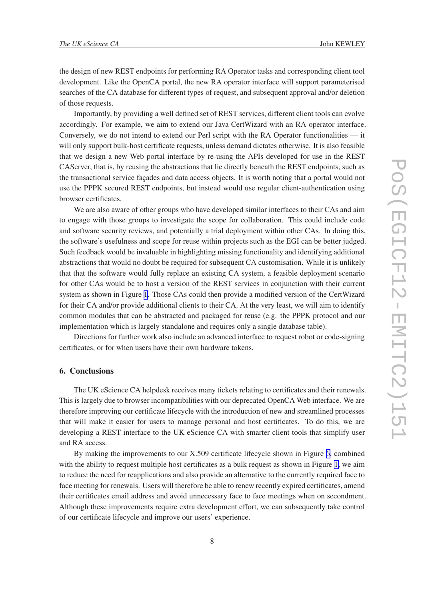the design of new REST endpoints for performing RA Operator tasks and corresponding client tool development. Like the OpenCA portal, the new RA operator interface will support parameterised searches of the CA database for different types of request, and subsequent approval and/or deletion of those requests.

Importantly, by providing a well defined set of REST services, different client tools can evolve accordingly. For example, we aim to extend our Java CertWizard with an RA operator interface. Conversely, we do not intend to extend our Perl script with the RA Operator functionalities — it will only support bulk-host certificate requests, unless demand dictates otherwise. It is also feasible that we design a new Web portal interface by re-using the APIs developed for use in the REST CAServer, that is, by reusing the abstractions that lie directly beneath the REST endpoints, such as the transactional service façades and data access objects. It is worth noting that a portal would not use the PPPK secured REST endpoints, but instead would use regular client-authentication using browser certificates.

We are also aware of other groups who have developed similar interfaces to their CAs and aim to engage with those groups to investigate the scope for collaboration. This could include code and software security reviews, and potentially a trial deployment within other CAs. In doing this, the software's usefulness and scope for reuse within projects such as the EGI can be better judged. Such feedback would be invaluable in highlighting missing functionality and identifying additional abstractions that would no doubt be required for subsequent CA customisation. While it is unlikely that that the software would fully replace an existing CA system, a feasible deployment scenario for other CAs would be to host a version of the REST services in conjunction with their current system as shown in Figure [1](#page-2-0). Those CAs could then provide a modified version of the CertWizard for their CA and/or provide additional clients to their CA. At the very least, we will aim to identify common modules that can be abstracted and packaged for reuse (e.g. the PPPK protocol and our implementation which is largely standalone and requires only a single database table).

Directions for further work also include an advanced interface to request robot or code-signing certificates, or for when users have their own hardware tokens.

# 6. Conclusions

The UK eScience CA helpdesk receives many tickets relating to certificates and their renewals. This is largely due to browser incompatibilities with our deprecated OpenCA Web interface. We are therefore improving our certificate lifecycle with the introduction of new and streamlined processes that will make it easier for users to manage personal and host certificates. To do this, we are developing a REST interface to the UK eScience CA with smarter client tools that simplify user and RA access.

By making the improvements to our X.509 certificate lifecycle shown in Figure [6,](#page-6-0) combined with the ability to request multiple host certificates as a bulk request as shown in Figure [1,](#page-2-0) we aim to reduce the need for reapplications and also provide an alternative to the currently required face to face meeting for renewals. Users will therefore be able to renew recently expired certificates, amend their certificates email address and avoid unnecessary face to face meetings when on secondment. Although these improvements require extra development effort, we can subsequently take control of our certificate lifecycle and improve our users' experience.